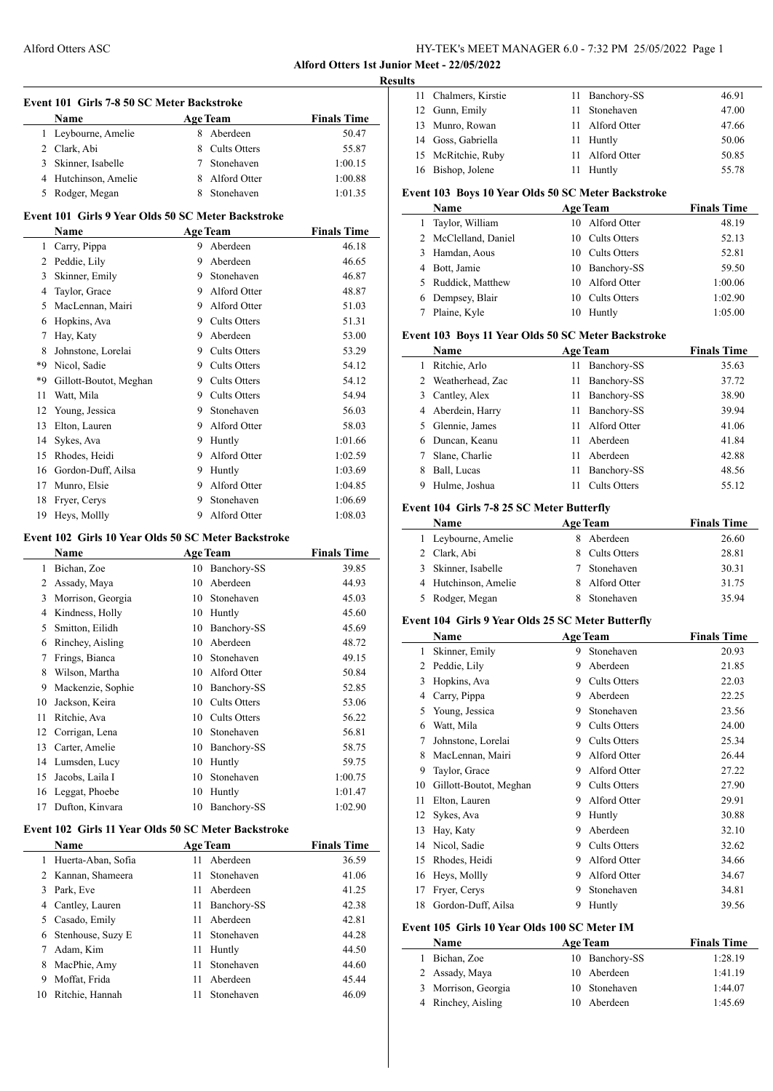**Alford Otters 1st Junior Meet - 22/05/2022**

 $\overline{\phantom{a}}$ 

|                | Event 101 Girls 7-8 50 SC Meter Backstroke<br><b>Name</b> | <b>Age Team</b> |                             | <b>Finals Time</b>          |
|----------------|-----------------------------------------------------------|-----------------|-----------------------------|-----------------------------|
|                | 1 Leybourne, Amelie                                       |                 | 8 Aberdeen                  | 50.47                       |
|                | 2 Clark, Abi                                              | 8               | Cults Otters                | 55.87                       |
|                | 3 Skinner, Isabelle                                       | $\tau$          | Stonehaven                  | 1:00.15                     |
|                | 4 Hutchinson, Amelie                                      | 8               | Alford Otter                | 1:00.88                     |
|                | 5 Rodger, Megan                                           | 8               | Stonehaven                  | 1:01.35                     |
|                | Event 101 Girls 9 Year Olds 50 SC Meter Backstroke        |                 |                             |                             |
|                | <b>Name</b>                                               |                 |                             |                             |
| $\mathbf{1}$   |                                                           | 9               | <b>Age Team</b><br>Aberdeen | <b>Finals Time</b><br>46.18 |
|                | Carry, Pippa                                              | 9               | Aberdeen                    | 46.65                       |
| $\overline{3}$ | 2 Peddie, Lily                                            | 9               | Stonehaven                  |                             |
|                | Skinner, Emily                                            | 9               | Alford Otter                | 46.87                       |
|                | 4 Taylor, Grace                                           |                 |                             | 48.87                       |
|                | 5 MacLennan, Mairi                                        |                 | 9 Alford Otter              | 51.03                       |
|                | 6 Hopkins, Ava                                            |                 | 9 Cults Otters              | 51.31                       |
|                | 7 Hay, Katy                                               | 9               | Aberdeen                    | 53.00                       |
| 8              | Johnstone, Lorelai                                        | 9               | Cults Otters                | 53.29                       |
|                | *9 Nicol. Sadie                                           | 9               | <b>Cults Otters</b>         | 54.12                       |
| *9             | Gillott-Boutot, Meghan                                    |                 | 9 Cults Otters              | 54.12                       |
| 11             | Watt, Mila                                                | 9               | Cults Otters                | 54.94                       |
| 12             | Young, Jessica                                            | 9               | Stonehaven                  | 56.03                       |
| 13             | Elton, Lauren                                             | 9               | Alford Otter                | 58.03                       |
| 14             | Sykes, Ava                                                |                 | 9 Huntly                    | 1:01.66                     |
|                | 15 Rhodes, Heidi                                          | 9               | Alford Otter                | 1:02.59                     |
|                | 16 Gordon-Duff, Ailsa                                     |                 | 9 Huntly                    | 1:03.69                     |
|                | 17 Munro, Elsie                                           | 9               | Alford Otter                | 1:04.85                     |
| 18             | Fryer, Cerys                                              |                 | 9 Stonehaven                | 1:06.69                     |
| 19             | Heys, Mollly                                              | 9               | Alford Otter                | 1:08.03                     |
|                | Event 102 Girls 10 Year Olds 50 SC Meter Backstroke       |                 |                             |                             |
|                | Name                                                      |                 | <b>Age Team</b>             | <b>Finals Time</b>          |
|                | 1 Bichan, Zoe                                             |                 | 10 Banchory-SS              | 39.85                       |
|                | 2 Assady, Maya                                            | 10              | Aberdeen                    | 44.93                       |
|                | 3 Morrison, Georgia                                       |                 | 10 Stonehaven               | 45.03                       |
|                | 4 Kindness, Holly                                         |                 | 10 Huntly                   | 45.60                       |
|                | 5 Smitton, Eilidh                                         |                 | 10 Banchory-SS              | 45.69                       |
|                | 6 Rinchey, Aisling                                        |                 | 10 Aberdeen                 | 48.72                       |
| 7              | Frings, Bianca                                            | 10              | Stonehaven                  | 49.15                       |
| 8              | Wilson, Martha                                            | 10              | Alford Otter                | 50.84                       |
| 9              | Mackenzie, Sophie                                         |                 | 10 Banchory-SS              | 52.85                       |
| 10             | Jackson, Keira                                            |                 | 10 Cults Otters             | 53.06                       |
|                |                                                           |                 |                             |                             |
| 11             | Ritchie, Ava                                              |                 | 10 Cults Otters             | 56.22                       |
|                | 12 Corrigan, Lena                                         |                 | 10 Stonehaven               | 56.81                       |
|                | 13 Carter, Amelie                                         | 10              | Banchory-SS                 | 58.75                       |
|                | 14 Lumsden, Lucy                                          | 10              | Huntly                      | 59.75                       |
| 15             | Jacobs, Laila I                                           | 10              | Stonehaven                  | 1:00.75                     |
| 16             | Leggat, Phoebe                                            | 10              | Huntly                      | 1:01.47                     |
| 17             | Dufton, Kinvara                                           | 10              | Banchory-SS                 | 1:02.90                     |
|                | Event 102 Girls 11 Year Olds 50 SC Meter Backstroke       |                 |                             |                             |
|                | Name                                                      |                 | <b>Age Team</b>             | <b>Finals Time</b>          |
| 1              | Huerta-Aban, Sofia                                        | 11              | Aberdeen                    | 36.59                       |
|                | 2 Kannan, Shameera                                        | 11              | Stonehaven                  | 41.06                       |
|                | 3 Park, Eve                                               | 11              | Aberdeen                    | 41.25                       |
|                | 4 Cantley, Lauren                                         | 11              | Banchory-SS                 | 42.38                       |
|                | 5 Casado, Emily                                           | 11              | Aberdeen                    | 42.81                       |
|                | 6 Stenhouse, Suzy E                                       | 11              | Stonehaven                  | 44.28                       |
|                | 7 Adam, Kim                                               | 11              | Huntly                      | 44.50                       |
|                | 8 MacPhie, Amy                                            | 11              | Stonehaven                  | 44.60                       |
|                |                                                           |                 |                             |                             |
| 9              |                                                           | 11              | Aberdeen                    |                             |
| 10             | Moffat, Frida<br>Ritchie, Hannah                          | 11              | Stonehaven                  | 45.44<br>46.09              |

| <b>Results</b> |                      |  |                 |       |  |  |  |
|----------------|----------------------|--|-----------------|-------|--|--|--|
|                | 11 Chalmers, Kirstie |  | 11 Banchory-SS  | 46.91 |  |  |  |
|                | 12 Gunn, Emily       |  | 11 Stonehaven   | 47.00 |  |  |  |
|                | 13 Munro, Rowan      |  | 11 Alford Otter | 47.66 |  |  |  |
|                | 14 Goss, Gabriella   |  | 11 Huntly       | 50.06 |  |  |  |
|                | 15 McRitchie, Ruby   |  | 11 Alford Otter | 50.85 |  |  |  |
|                | 16 Bishop, Jolene    |  | Huntly          | 55.78 |  |  |  |

### **Event 103 Boys 10 Year Olds 50 SC Meter Backstroke**

|   | <b>Name</b>          | <b>Age Team</b>     | <b>Finals Time</b> |
|---|----------------------|---------------------|--------------------|
| 1 | Taylor, William      | 10 Alford Otter     | 48.19              |
|   | 2 McClelland, Daniel | 10 Cults Otters     | 52.13              |
|   | 3 Hamdan, Aous       | Cults Otters<br>10. | 52.81              |
|   | 4 Bott, Jamie        | 10 Banchory-SS      | 59.50              |
|   | 5 Ruddick, Matthew   | 10 Alford Otter     | 1:00.06            |
|   | 6 Dempsey, Blair     | Cults Otters<br>10  | 1:02.90            |
|   | Plaine, Kyle         | Huntly<br>10        | 1:05.00            |

# **Event 103 Boys 11 Year Olds 50 SC Meter Backstroke**

|    | Name               | <b>Age Team</b>           | <b>Finals Time</b> |
|----|--------------------|---------------------------|--------------------|
| 1  | Ritchie, Arlo      | Banchory-SS<br>11         | 35.63              |
|    | 2 Weatherhead, Zac | Banchory-SS<br>11         | 37.72              |
| 3  | Cantley, Alex      | Banchory-SS<br>11         | 38.90              |
| 4  | Aberdein, Harry    | Banchory-SS<br>11         | 39.94              |
| 5. | Glennie, James     | Alford Otter<br>11        | 41.06              |
| 6  | Duncan, Keanu      | Aberdeen<br>11            | 41.84              |
|    | Slane, Charlie     | Aberdeen<br>11            | 42.88              |
| 8  | Ball, Lucas        | Banchory-SS<br>11         | 48.56              |
| 9  | Hulme, Joshua      | <b>Cults Otters</b><br>11 | 55.12              |

### **Event 104 Girls 7-8 25 SC Meter Butterfly**

| <b>Name</b>          | <b>Age Team</b> | <b>Finals Time</b> |
|----------------------|-----------------|--------------------|
| 1 Leybourne, Amelie  | Aberdeen        | 26.60              |
| 2 Clark, Abi         | 8 Cults Otters  | 28.81              |
| 3 Skinner, Isabelle  | Stonehaven      | 30.31              |
| 4 Hutchinson, Amelie | Alford Otter    | 31.75              |
| 5 Rodger, Megan      | Stonehaven      | 35.94              |

### **Event 104 Girls 9 Year Olds 25 SC Meter Butterfly**

|    | Name                   |   | <b>Age Team</b>     | <b>Finals Time</b> |
|----|------------------------|---|---------------------|--------------------|
| 1  | Skinner, Emily         | 9 | Stonehaven          | 20.93              |
| 2  | Peddie, Lily           | 9 | Aberdeen            | 21.85              |
| 3  | Hopkins, Ava           | 9 | <b>Cults Otters</b> | 22.03              |
| 4  | Carry, Pippa           | 9 | Aberdeen            | 22.25              |
| 5  | Young, Jessica         | 9 | Stonehaven          | 23.56              |
| 6  | Watt, Mila             | 9 | <b>Cults Otters</b> | 24.00              |
| 7  | Johnstone, Lorelai     | 9 | <b>Cults Otters</b> | 25.34              |
| 8  | MacLennan, Mairi       | 9 | Alford Otter        | 26.44              |
| 9  | Taylor, Grace          | 9 | Alford Otter        | 27.22              |
| 10 | Gillott-Boutot, Meghan | 9 | <b>Cults Otters</b> | 27.90              |
| 11 | Elton, Lauren          | 9 | Alford Otter        | 29.91              |
| 12 | Sykes, Ava             | 9 | Huntly              | 30.88              |
| 13 | Hay, Katy              | 9 | Aberdeen            | 32.10              |
| 14 | Nicol, Sadie           | 9 | Cults Otters        | 32.62              |
| 15 | Rhodes, Heidi          | 9 | Alford Otter        | 34.66              |
| 16 | Heys, Mollly           | 9 | Alford Otter        | 34.67              |
| 17 | Fryer, Cerys           | 9 | Stonehaven          | 34.81              |
| 18 | Gordon-Duff, Ailsa     | 9 | Huntly              | 39.56              |

# **Event 105 Girls 10 Year Olds 100 SC Meter IM**

| <b>Name</b>         | <b>Age Team</b> | <b>Finals Time</b> |
|---------------------|-----------------|--------------------|
| Bichan, Zoe         | 10 Banchory-SS  | 1:28.19            |
| 2 Assady, Maya      | 10 Aberdeen     | 1:41.19            |
| 3 Morrison, Georgia | 10 Stonehaven   | 1:44.07            |
| 4 Rinchey, Aisling  | 10 Aberdeen     | 1:45.69            |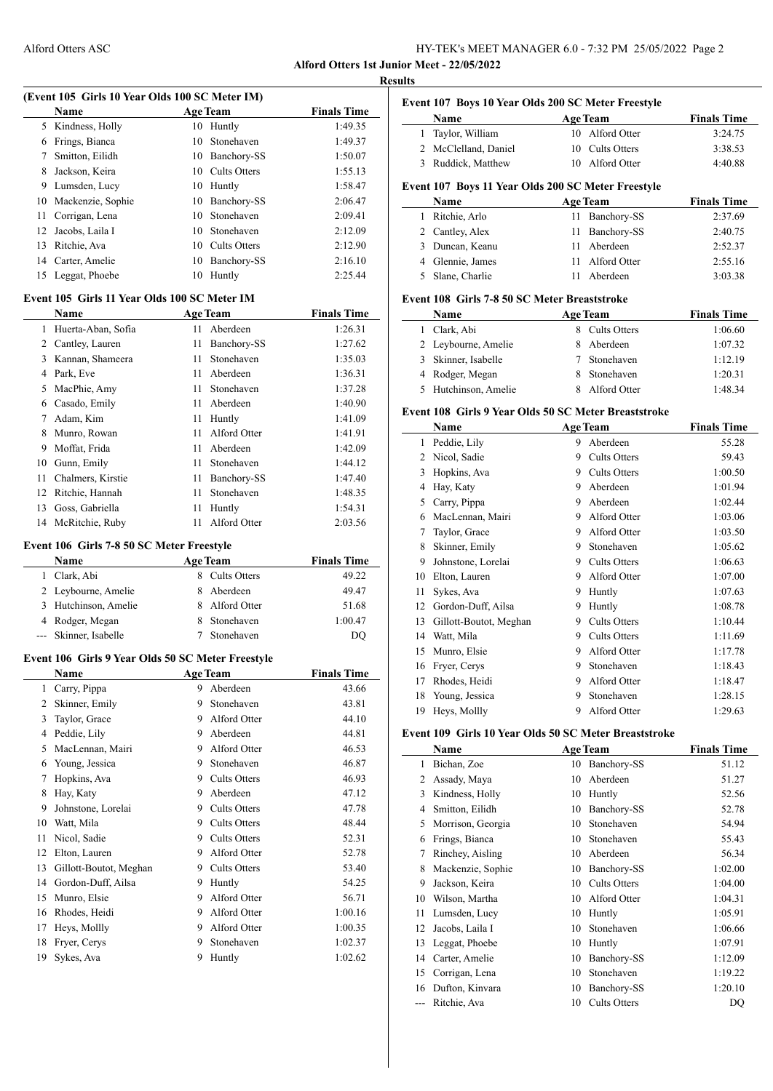| <b>Alford Otters ASC</b> | HY-TEK's MEET MANAGER 6.0 - 7:32 PM 25/05/2022 Page 2 |
|--------------------------|-------------------------------------------------------|
|--------------------------|-------------------------------------------------------|

**Alford Otters 1st Junior Meet - 22/05/2022 Results**

|                                           |                                                   | (Event 105 Girls 10 Year Olds 100 SC Meter IM) |                 |                    |  |  |
|-------------------------------------------|---------------------------------------------------|------------------------------------------------|-----------------|--------------------|--|--|
|                                           | Name                                              |                                                | <b>Age Team</b> | <b>Finals Time</b> |  |  |
| 5                                         | Kindness, Holly                                   | 10                                             | Huntly          | 1:49.35            |  |  |
|                                           | 6 Frings, Bianca                                  | 10                                             | Stonehaven      | 1:49.37            |  |  |
| $7\phantom{.000}$                         | Smitton, Eilidh                                   |                                                | 10 Banchory-SS  | 1:50.07            |  |  |
| 8                                         | Jackson, Keira                                    |                                                | 10 Cults Otters | 1:55.13            |  |  |
| 9                                         | Lumsden, Lucy                                     |                                                | 10 Huntly       | 1:58.47            |  |  |
| 10                                        | Mackenzie, Sophie                                 |                                                | 10 Banchory-SS  | 2:06.47            |  |  |
| 11                                        | Corrigan, Lena                                    |                                                | 10 Stonehaven   | 2:09.41            |  |  |
| 12                                        | Jacobs, Laila I                                   |                                                | 10 Stonehaven   | 2:12.09            |  |  |
| 13                                        | Ritchie, Ava                                      |                                                | 10 Cults Otters | 2:12.90            |  |  |
|                                           | 14 Carter, Amelie                                 |                                                | 10 Banchory-SS  | 2:16.10            |  |  |
| 15                                        | Leggat, Phoebe                                    | 10                                             | Huntly          | 2:25.44            |  |  |
|                                           | Event 105 Girls 11 Year Olds 100 SC Meter IM      |                                                |                 |                    |  |  |
|                                           | Name                                              |                                                | <b>Age Team</b> | <b>Finals Time</b> |  |  |
| $\mathbf{1}$                              | Huerta-Aban, Sofia                                | 11                                             | Aberdeen        | 1:26.31            |  |  |
|                                           | 2 Cantley, Lauren                                 | 11                                             | Banchory-SS     | 1:27.62            |  |  |
| 3                                         | Kannan, Shameera                                  | 11                                             | Stonehaven      | 1:35.03            |  |  |
|                                           | 4 Park, Eve                                       | 11 -                                           | Aberdeen        | 1:36.31            |  |  |
| 5                                         | MacPhie, Amy                                      | 11 -                                           | Stonehaven      | 1:37.28            |  |  |
|                                           | 6 Casado, Emily                                   |                                                | 11 Aberdeen     | 1:40.90            |  |  |
| 7                                         | Adam, Kim                                         |                                                | 11 Huntly       | 1:41.09            |  |  |
| 8                                         | Munro, Rowan                                      | 11 -                                           | Alford Otter    | 1:41.91            |  |  |
| 9                                         | Moffat, Frida                                     | 11 -                                           | Aberdeen        | 1:42.09            |  |  |
|                                           | 10 Gunn, Emily                                    | 11                                             | Stonehaven      | 1:44.12            |  |  |
| 11                                        | Chalmers, Kirstie                                 | 11                                             | Banchory-SS     | 1:47.40            |  |  |
| 12                                        | Ritchie, Hannah                                   | 11                                             | Stonehaven      | 1:48.35            |  |  |
| 13                                        | Goss, Gabriella                                   | 11                                             | Huntly          | 1:54.31            |  |  |
| 14                                        | McRitchie, Ruby                                   | 11                                             | Alford Otter    | 2:03.56            |  |  |
| Event 106 Girls 7-8 50 SC Meter Freestyle |                                                   |                                                |                 |                    |  |  |
|                                           |                                                   |                                                |                 |                    |  |  |
|                                           | Name                                              |                                                | <b>Age Team</b> | <b>Finals Time</b> |  |  |
|                                           | 1 Clark, Abi                                      |                                                | 8 Cults Otters  | 49.22              |  |  |
|                                           | 2 Leybourne, Amelie                               |                                                | 8 Aberdeen      | 49.47              |  |  |
| 3                                         | Hutchinson, Amelie                                |                                                | 8 Alford Otter  | 51.68              |  |  |
|                                           | 4 Rodger, Megan                                   |                                                | 8 Stonehaven    | 1:00.47            |  |  |
| $--$                                      | Skinner, Isabelle                                 | 7                                              | Stonehaven      | D <sub>O</sub>     |  |  |
|                                           | Event 106 Girls 9 Year Olds 50 SC Meter Freestyle |                                                |                 |                    |  |  |
|                                           | Name<br><b>Example 2</b> Age Team                 |                                                |                 | <b>Finals Time</b> |  |  |
| 1                                         | Carry, Pippa                                      |                                                | 9 Aberdeen      | 43.66              |  |  |
| $\overline{c}$                            | Skinner, Emily                                    | 9                                              | Stonehaven      | 43.81              |  |  |
| 3                                         | Taylor, Grace                                     | 9.                                             | Alford Otter    | 44.10              |  |  |
| 4                                         | Peddie, Lily                                      | 9.                                             | Aberdeen        | 44.81              |  |  |
| 5                                         | MacLennan, Mairi                                  | 9.                                             | Alford Otter    | 46.53              |  |  |
| 6                                         | Young, Jessica                                    | 9.                                             | Stonehaven      | 46.87              |  |  |
| 7                                         | Hopkins, Ava                                      |                                                | 9 Cults Otters  | 46.93              |  |  |
| 8                                         | Hay, Katy                                         | 9                                              | Aberdeen        | 47.12              |  |  |
| 9                                         | Johnstone, Lorelai                                |                                                | 9 Cults Otters  | 47.78              |  |  |
| 10                                        | Watt, Mila                                        | 9                                              | Cults Otters    | 48.44              |  |  |
| 11                                        | Nicol, Sadie                                      |                                                | 9 Cults Otters  | 52.31              |  |  |
| 12                                        | Elton, Lauren                                     | 9.                                             | Alford Otter    | 52.78              |  |  |
| 13                                        | Gillott-Boutot, Meghan                            | 9.                                             | Cults Otters    | 53.40              |  |  |
| 14                                        | Gordon-Duff, Ailsa                                | 9                                              | Huntly          | 54.25              |  |  |
| 15                                        | Munro, Elsie                                      | 9                                              | Alford Otter    | 56.71              |  |  |
| 16                                        | Rhodes, Heidi                                     | 9.                                             | Alford Otter    | 1:00.16            |  |  |
| 17                                        | Heys, Mollly                                      | 9.                                             | Alford Otter    | 1:00.35            |  |  |
| 18                                        | Fryer, Cerys                                      | 9                                              | Stonehaven      | 1:02.37            |  |  |

|    | Event 107 Boys 10 Year Olds 200 SC Meter Freestyle         |             |                     |                    |
|----|------------------------------------------------------------|-------------|---------------------|--------------------|
|    | Name                                                       |             | <b>Age Team</b>     | <b>Finals Time</b> |
| 1  | Taylor, William                                            |             | 10 Alford Otter     | 3:24.75            |
|    | 2 McClelland, Daniel                                       | 10          | <b>Cults Otters</b> | 3:38.53            |
|    | 3 Ruddick, Matthew                                         |             | 10 Alford Otter     | 4:40.88            |
|    |                                                            |             |                     |                    |
|    | Event 107 Boys 11 Year Olds 200 SC Meter Freestyle<br>Name |             |                     | <b>Finals Time</b> |
|    |                                                            | 11          | <b>Age Team</b>     |                    |
|    | 1 Ritchie, Arlo                                            |             | Banchory-SS         | 2:37.69            |
|    | 2 Cantley, Alex                                            | 11          | Banchory-SS         | 2:40.75            |
|    | 3 Duncan, Keanu                                            |             | 11 Aberdeen         | 2:52.37            |
|    | 4 Glennie, James                                           |             | 11 Alford Otter     | 2:55.16            |
| 5  | Slane, Charlie                                             |             | 11 Aberdeen         | 3:03.38            |
|    | Event 108 Girls 7-8 50 SC Meter Breaststroke               |             |                     |                    |
|    | Name                                                       |             | <b>Age Team</b>     | <b>Finals Time</b> |
|    | 1 Clark, Abi                                               |             | 8 Cults Otters      | 1:06.60            |
|    | 2 Leybourne, Amelie                                        |             | 8 Aberdeen          | 1:07.32            |
|    | 3 Skinner, Isabelle                                        | $7^{\circ}$ | Stonehaven          | 1:12.19            |
|    | 4 Rodger, Megan                                            | 8           | Stonehaven          | 1:20.31            |
| 5  | Hutchinson, Amelie                                         | 8           | Alford Otter        | 1:48.34            |
|    | Event 108 Girls 9 Year Olds 50 SC Meter Breaststroke       |             |                     |                    |
|    | Name                                                       |             | <b>Age Team</b>     | <b>Finals Time</b> |
|    | 1 Peddie, Lily                                             |             | 9 Aberdeen          | 55.28              |
|    | 2 Nicol, Sadie                                             |             | 9 Cults Otters      | 59.43              |
|    | 3 Hopkins, Ava                                             |             | 9 Cults Otters      | 1:00.50            |
|    | 4 Hay, Katy                                                |             | 9 Aberdeen          | 1:01.94            |
|    | 5 Carry, Pippa                                             |             | 9 Aberdeen          | 1:02.44            |
|    | 6 MacLennan, Mairi                                         |             | 9 Alford Otter      | 1:03.06            |
| 7  | Taylor, Grace                                              |             | 9 Alford Otter      | 1:03.50            |
| 8  | Skinner, Emily                                             |             | 9 Stonehaven        | 1:05.62            |
| 9  | Johnstone, Lorelai                                         |             | 9 Cults Otters      | 1:06.63            |
| 10 | Elton, Lauren                                              |             | 9 Alford Otter      | 1:07.00            |
| 11 | Sykes, Ava                                                 |             | 9 Huntly            | 1:07.63            |
|    | 12 Gordon-Duff, Ailsa                                      |             | 9 Huntly            | 1:08.78            |
| 13 |                                                            |             | 9 Cults Otters      | 1:10.44            |
|    | Gillott-Boutot, Meghan                                     |             |                     |                    |
| 14 | Watt, Mila                                                 |             | 9 Cults Otters      | 1:11.69            |
| 15 | Munro, Elsie                                               | 9           | Alford Otter        | 1:17.78            |
| 16 | Fryer, Cerys                                               | 9           | Stonehaven          | 1:18.43            |
| 17 | Rhodes, Heidi                                              | 9           | Alford Otter        | 1:18.47            |
| 18 | Young, Jessica                                             | 9           | Stonehaven          | 1:28.15            |
| 19 | Heys, Mollly                                               | 9           | Alford Otter        | 1:29.63            |
|    | Event 109 Girls 10 Year Olds 50 SC Meter Breaststroke      |             |                     |                    |
|    | Name                                                       |             | <b>Age Team</b>     | <b>Finals Time</b> |
| 1  | Bichan, Zoe                                                | 10          | Banchory-SS         | 51.12              |
| 2  | Assady, Maya                                               | 10          | Aberdeen            | 51.27              |
| 3  | Kindness, Holly                                            | 10          | Huntly              | 52.56              |
| 4  | Smitton, Eilidh                                            | 10          | Banchory-SS         | 52.78              |
| 5  | Morrison, Georgia                                          | 10          | Stonehaven          | 54.94              |
| 6  | Frings, Bianca                                             | 10          | Stonehaven          | 55.43              |
| 7  | Rinchey, Aisling                                           |             | 10 Aberdeen         | 56.34              |
| 8  | Mackenzie, Sophie                                          |             | 10 Banchory-SS      | 1:02.00            |
| 9  | Jackson, Keira                                             |             | 10 Cults Otters     | 1:04.00            |
| 10 | Wilson, Martha                                             | 10          | Alford Otter        | 1:04.31            |
| 11 | Lumsden, Lucy                                              | 10          | Huntly              | 1:05.91            |
| 12 | Jacobs, Laila I                                            | 10          | Stonehaven          | 1:06.66            |
| 13 | Leggat, Phoebe                                             | 10          | Huntly              | 1:07.91            |
|    | 14 Carter, Amelie                                          |             | 10 Banchory-SS      | 1:12.09            |

15 Corrigan, Lena 10 Stonehaven 1:19.22 Dufton, Kinvara 10 Banchory-SS 1:20.10 --- Ritchie, Ava 10 Cults Otters DQ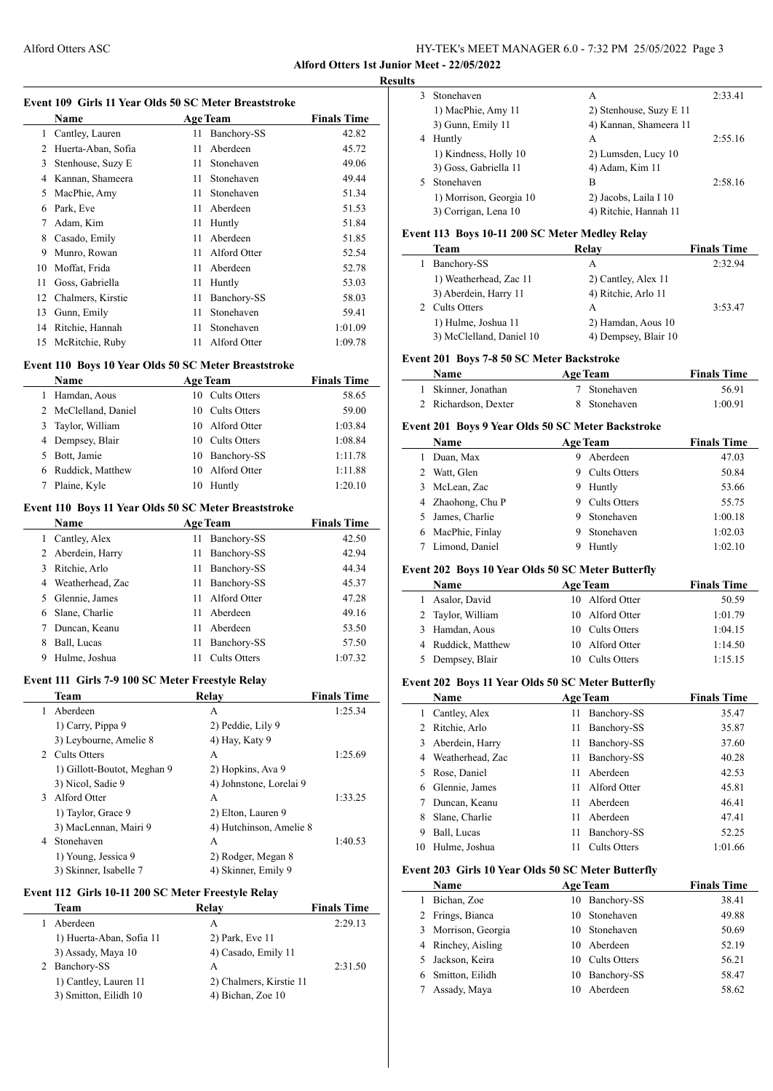# Alford Otters ASC HY-TEK's MEET MANAGER 6.0 - 7:32 PM 25/05/2022 Page 3

**Alford Otters 1st Junior Meet - 22/05/2022**

**Results**

 $\overline{\phantom{a}}$ 

 $\overline{a}$ 

| Event 109 Girls 11 Year Olds 50 SC Meter Breaststroke |  |  |
|-------------------------------------------------------|--|--|
|-------------------------------------------------------|--|--|

|    | Name               | <b>Age Team</b> |              | <b>Finals Time</b> |
|----|--------------------|-----------------|--------------|--------------------|
| 1  | Cantley, Lauren    | 11              | Banchory-SS  | 42.82              |
| 2  | Huerta-Aban, Sofia | 11              | Aberdeen     | 45.72              |
| 3  | Stenhouse, Suzy E  | 11              | Stonehaven   | 49.06              |
| 4  | Kannan, Shameera   | 11              | Stonehaven   | 49.44              |
| 5  | MacPhie, Amy       | 11              | Stonehaven   | 51.34              |
| 6  | Park, Eve          | 11              | Aberdeen     | 51.53              |
| 7  | Adam, Kim          | 11              | Huntly       | 51.84              |
| 8  | Casado, Emily      | 11              | Aberdeen     | 51.85              |
| 9  | Munro, Rowan       | 11              | Alford Otter | 52.54              |
| 10 | Moffat, Frida      | 11              | Aberdeen     | 52.78              |
| 11 | Goss, Gabriella    | 11              | Huntly       | 53.03              |
| 12 | Chalmers, Kirstie  | 11              | Banchory-SS  | 58.03              |
| 13 | Gunn, Emily        | 11              | Stonehaven   | 59.41              |
| 14 | Ritchie, Hannah    | 11              | Stonehaven   | 1:01.09            |
| 15 | McRitchie, Ruby    | 11              | Alford Otter | 1:09.78            |

### **Event 110 Boys 10 Year Olds 50 SC Meter Breaststroke**

|    | <b>Name</b>          | <b>Age Team</b>    | <b>Finals Time</b> |
|----|----------------------|--------------------|--------------------|
|    | Hamdan, Aous         | 10 Cults Otters    | 58.65              |
|    | 2 McClelland, Daniel | 10 Cults Otters    | 59.00              |
|    | 3 Taylor, William    | 10 Alford Otter    | 1:03.84            |
|    | 4 Dempsey, Blair     | 10 Cults Otters    | 1:08.84            |
| 5. | Bott, Jamie          | 10 Banchory-SS     | 1:11.78            |
| 6  | Ruddick, Matthew     | Alford Otter<br>10 | 1:11.88            |
|    | Plaine, Kyle         | Huntly<br>10       | 1:20.10            |

### **Event 110 Boys 11 Year Olds 50 SC Meter Breaststroke**

|   | <b>Name</b>      | <b>Age Team</b>     | <b>Finals Time</b> |
|---|------------------|---------------------|--------------------|
|   | Cantley, Alex    | Banchory-SS<br>11   | 42.50              |
| 2 | Aberdein, Harry  | Banchory-SS<br>11   | 42.94              |
| 3 | Ritchie, Arlo    | Banchory-SS<br>11   | 44.34              |
| 4 | Weatherhead, Zac | Banchory-SS<br>11   | 45.37              |
| 5 | Glennie, James   | Alford Otter<br>11  | 47.28              |
| 6 | Slane, Charlie   | Aberdeen<br>11      | 49.16              |
|   | Duncan, Keanu    | Aberdeen<br>11      | 53.50              |
| 8 | Ball, Lucas      | Banchory-SS<br>11   | 57.50              |
| 9 | Hulme, Joshua    | <b>Cults Otters</b> | 1:07.32            |

### **Event 111 Girls 7-9 100 SC Meter Freestyle Relay**

|   | Team                        | Relav                   | <b>Finals Time</b> |
|---|-----------------------------|-------------------------|--------------------|
|   | Aberdeen                    | А                       | 1:25.34            |
|   | 1) Carry, Pippa 9           | 2) Peddie, Lily 9       |                    |
|   | 3) Leybourne, Amelie 8      | 4) Hay, Katy 9          |                    |
|   | 2 Cults Otters              | A                       | 1:25.69            |
|   | 1) Gillott-Boutot, Meghan 9 | 2) Hopkins, Ava 9       |                    |
|   | 3) Nicol, Sadie 9           | 4) Johnstone, Lorelai 9 |                    |
| 3 | Alford Otter                | A                       | 1:33.25            |
|   | 1) Taylor, Grace 9          | 2) Elton, Lauren 9      |                    |
|   | 3) MacLennan, Mairi 9       | 4) Hutchinson, Amelie 8 |                    |
| 4 | Stonehaven                  | A                       | 1:40.53            |
|   | 1) Young, Jessica 9         | 2) Rodger, Megan 8      |                    |
|   | 3) Skinner, Isabelle 7      | 4) Skinner, Emily 9     |                    |

### **Event 112 Girls 10-11 200 SC Meter Freestyle Relay**

| Team                     | Relay                   | <b>Finals Time</b> |
|--------------------------|-------------------------|--------------------|
| Aberdeen                 | A                       | 2:29.13            |
| 1) Huerta-Aban, Sofia 11 | 2) Park, Eve 11         |                    |
| 3) Assady, Maya 10       | 4) Casado, Emily 11     |                    |
| Banchory-SS              | А                       | 2:31.50            |
| 1) Cantley, Lauren 11    | 2) Chalmers, Kirstie 11 |                    |
| 3) Smitton, Eilidh 10    | 4) Bichan, Zoe 10       |                    |
|                          |                         |                    |

| 3 | Stonehaven              | А                       | 2:33.41 |
|---|-------------------------|-------------------------|---------|
|   | 1) MacPhie, Amy 11      | 2) Stenhouse, Suzy E 11 |         |
|   | 3) Gunn, Emily 11       | 4) Kannan, Shameera 11  |         |
| 4 | Huntly                  | A                       | 2:55.16 |
|   | 1) Kindness, Holly 10   | 2) Lumsden, Lucy 10     |         |
|   | 3) Goss, Gabriella 11   | 4) Adam, Kim 11         |         |
| 5 | Stonehaven              | В                       | 2:58.16 |
|   | 1) Morrison, Georgia 10 | 2) Jacobs, Laila I 10   |         |
|   | 3) Corrigan, Lena 10    | 4) Ritchie, Hannah 11   |         |
|   |                         |                         |         |

### **Event 113 Boys 10-11 200 SC Meter Medley Relay**

| Team                     | Relay                | <b>Finals Time</b> |
|--------------------------|----------------------|--------------------|
| Banchory-SS              | A                    | 2:32.94            |
| 1) Weatherhead, Zac 11   | 2) Cantley, Alex 11  |                    |
| 3) Aberdein, Harry 11    | 4) Ritchie, Arlo 11  |                    |
| <b>Cults Otters</b>      | A                    | 3:53.47            |
| 1) Hulme, Joshua 11      | 2) Hamdan, Aous 10   |                    |
| 3) McClelland, Daniel 10 | 4) Dempsey, Blair 10 |                    |
|                          |                      |                    |

# **Event 201 Boys 7-8 50 SC Meter Backstroke**

| Name                 | <b>Age Team</b> | <b>Finals Time</b> |  |
|----------------------|-----------------|--------------------|--|
| 1 Skinner, Jonathan  | 7 Stonehaven    | 56.91              |  |
| 2 Richardson, Dexter | 8 Stonehaven    | 1:00.91            |  |

### **Event 201 Boys 9 Year Olds 50 SC Meter Backstroke**

|   | <b>Name</b>       | <b>Age Team</b> |              | <b>Finals Time</b> |
|---|-------------------|-----------------|--------------|--------------------|
|   | Duan, Max         | 9               | Aberdeen     | 47.03              |
| 2 | Watt, Glen        | 9               | Cults Otters | 50.84              |
|   | McLean, Zac       | 9               | Huntly       | 53.66              |
|   | 4 Zhaohong, Chu P | 9               | Cults Otters | 55.75              |
|   | James, Charlie    | 9               | Stonehaven   | 1:00.18            |
| 6 | MacPhie, Finlay   | 9               | Stonehaven   | 1:02.03            |
|   | Limond, Daniel    | 9               | Huntly       | 1:02.10            |

#### **Event 202 Boys 10 Year Olds 50 SC Meter Butterfly**

| <b>Name</b> |                    | <b>Age Team</b> |                 | <b>Finals Time</b> |  |
|-------------|--------------------|-----------------|-----------------|--------------------|--|
|             | 1 Asalor, David    |                 | 10 Alford Otter | 50.59              |  |
|             | 2 Taylor, William  |                 | 10 Alford Otter | 1:01.79            |  |
|             | 3 Hamdan, Aous     |                 | 10 Cults Otters | 1:04.15            |  |
|             | 4 Ruddick, Matthew |                 | 10 Alford Otter | 1:14.50            |  |
|             | 5 Dempsey, Blair   |                 | 10 Cults Otters | 1:15.15            |  |

# **Event 202 Boys 11 Year Olds 50 SC Meter Butterfly**

| $\cdots$ and $\cdots$ boys in run only so so mean buttony |                  |    |                     |                    |  |  |  |
|-----------------------------------------------------------|------------------|----|---------------------|--------------------|--|--|--|
|                                                           | <b>Name</b>      |    | <b>Age Team</b>     | <b>Finals Time</b> |  |  |  |
|                                                           | Cantley, Alex    | 11 | Banchory-SS         | 35.47              |  |  |  |
| 2                                                         | Ritchie, Arlo    | 11 | Banchory-SS         | 35.87              |  |  |  |
| 3                                                         | Aberdein, Harry  | 11 | Banchory-SS         | 37.60              |  |  |  |
| 4                                                         | Weatherhead, Zac | 11 | Banchory-SS         | 40.28              |  |  |  |
| 5.                                                        | Rose, Daniel     | 11 | Aberdeen            | 42.53              |  |  |  |
| 6                                                         | Glennie, James   | 11 | Alford Otter        | 45.81              |  |  |  |
|                                                           | Duncan, Keanu    | 11 | Aberdeen            | 46.41              |  |  |  |
| 8                                                         | Slane, Charlie   | 11 | Aberdeen            | 47.41              |  |  |  |
| 9                                                         | Ball, Lucas      | 11 | Banchory-SS         | 52.25              |  |  |  |
| 10                                                        | Hulme, Joshua    | 11 | <b>Cults Otters</b> | 1:01.66            |  |  |  |

#### **Event 203 Girls 10 Year Olds 50 SC Meter Butterfly**

| Name                | <b>Age Team</b>   | <b>Finals Time</b> |
|---------------------|-------------------|--------------------|
| Bichan, Zoe         | 10 Banchory-SS    | 38.41              |
| 2 Frings, Bianca    | 10 Stonehaven     | 49.88              |
| 3 Morrison, Georgia | 10 Stonehaven     | 50.69              |
| 4 Rinchey, Aisling  | Aberdeen<br>10    | 52.19              |
| 5 Jackson, Keira    | 10 Cults Otters   | 56.21              |
| 6 Smitton, Eilidh   | Banchory-SS<br>10 | 58.47              |
| Assady, Maya        | Aberdeen          | 58.62              |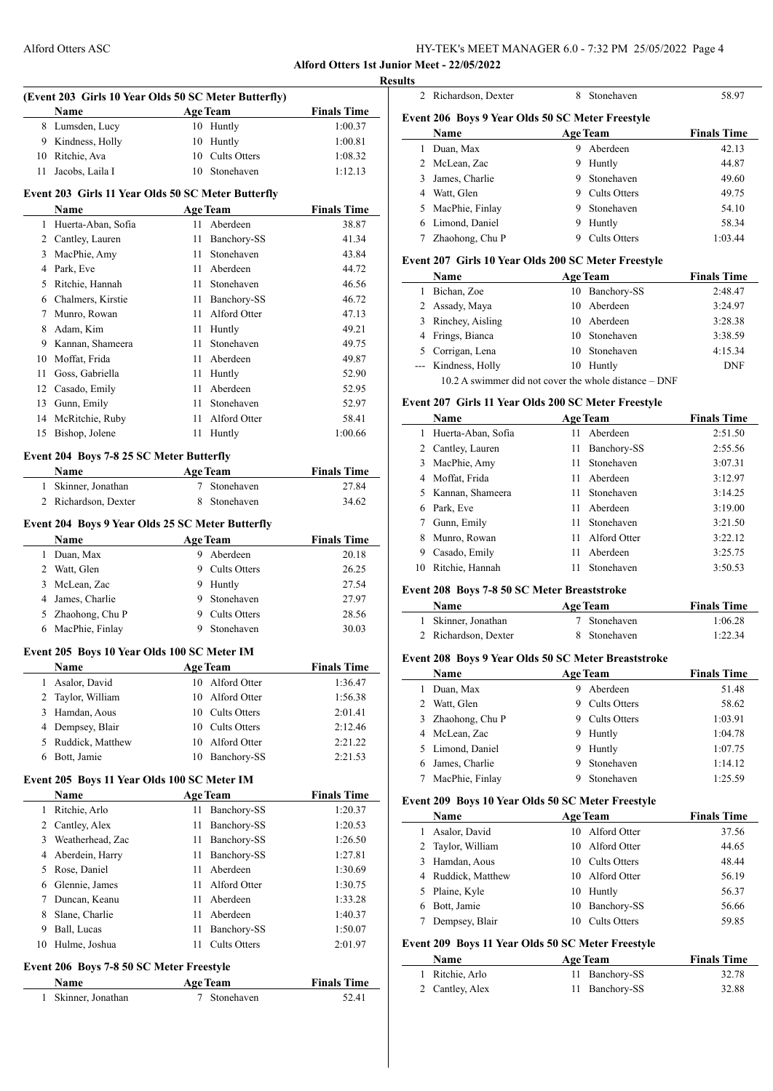| HY-TEK's MEET MANAGER 6.0 - 7:32 PM 25/05/2022 Page 4 |  |  |
|-------------------------------------------------------|--|--|
|-------------------------------------------------------|--|--|

**Alford Otters 1st Junior Meet - 22/05/2022**

|                | (Event 203 Girls 10 Year Olds 50 SC Meter Butterfly)     |             |                              |                             |
|----------------|----------------------------------------------------------|-------------|------------------------------|-----------------------------|
|                | Name                                                     |             | <b>Age Team</b>              | <b>Finals Time</b>          |
|                | 8 Lumsden, Lucy                                          |             | 10 Huntly                    | 1:00.37                     |
|                | 9 Kindness, Holly                                        |             | 10 Huntly                    | 1:00.81                     |
|                | 10 Ritchie, Ava                                          |             | 10 Cults Otters              | 1:08.32                     |
| 11             | Jacobs, Laila I                                          |             | 10 Stonehaven                | 1:12.13                     |
|                | Event 203 Girls 11 Year Olds 50 SC Meter Butterfly       |             |                              |                             |
|                | <b>Name</b>                                              |             | <b>Age Team</b>              | <b>Finals Time</b>          |
|                | 1 Huerta-Aban, Sofia                                     |             | 11 Aberdeen                  | 38.87                       |
|                | 2 Cantley, Lauren                                        |             | 11 Banchory-SS               | 41.34                       |
|                | 3 MacPhie, Amy                                           |             | 11 Stonehaven                | 43.84                       |
|                | 4 Park, Eve                                              |             | 11 Aberdeen                  | 44.72                       |
|                | 5 Ritchie, Hannah                                        |             | 11 Stonehaven                | 46.56                       |
|                | 6 Chalmers, Kirstie                                      |             | 11 Banchory-SS               | 46.72                       |
| $\tau$         | Munro, Rowan                                             |             | 11 Alford Otter              | 47.13                       |
|                | 8 Adam, Kim                                              |             | 11 Huntly                    | 49.21                       |
|                | 9 Kannan, Shameera                                       | 11          | Stonehaven                   | 49.75                       |
|                | 10 Moffat, Frida                                         |             | 11 Aberdeen                  | 49.87                       |
|                | 11 Goss, Gabriella                                       |             | 11 Huntly                    | 52.90                       |
|                | 12 Casado, Emily                                         |             | 11 Aberdeen                  | 52.95                       |
|                | 13 Gunn, Emily                                           | 11          | Stonehaven                   | 52.97                       |
|                | 14 McRitchie, Ruby                                       |             | 11 Alford Otter              | 58.41                       |
|                | 15 Bishop, Jolene                                        |             | 11 Huntly                    | 1:00.66                     |
|                | Event 204 Boys 7-8 25 SC Meter Butterfly                 |             |                              |                             |
|                | <b>Name</b>                                              |             | <b>Example 2018</b> Age Team | <b>Finals Time</b>          |
|                | 1 Skinner, Jonathan                                      | $7^{\circ}$ | Stonehaven                   | 27.84                       |
|                | 2 Richardson, Dexter                                     |             | 8 Stonehaven                 | 34.62                       |
|                |                                                          |             |                              |                             |
|                | Event 204 Boys 9 Year Olds 25 SC Meter Butterfly<br>Name |             |                              |                             |
|                |                                                          |             | Age Team<br>9 Aberdeen       | <b>Finals Time</b><br>20.18 |
|                | 1 Duan, Max                                              |             | 9 Cults Otters               | 26.25                       |
|                | 2 Watt, Glen<br>3 McLean, Zac                            |             |                              |                             |
|                |                                                          |             | 9 Huntly<br>9 Stonehaven     | 27.54                       |
|                | 4 James, Charlie                                         |             | 9 Cults Otters               | 27.97<br>28.56              |
|                | 5 Zhaohong, Chu P                                        |             | 9 Stonehaven                 |                             |
|                | 6 MacPhie, Finlay                                        |             |                              | 30.03                       |
|                |                                                          |             |                              |                             |
|                | Event 205 Boys 10 Year Olds 100 SC Meter IM              |             |                              |                             |
|                | Name                                                     |             | <b>Age Team</b>              | <b>Finals Time</b>          |
| $\mathbf{1}$   | Asalor, David                                            |             | 10 Alford Otter              | 1:36.47                     |
| 2              | Taylor, William                                          |             | 10 Alford Otter              | 1:56.38                     |
| 3              | Hamdan, Aous                                             |             | 10 Cults Otters              | 2:01.41                     |
| $\overline{4}$ | Dempsey, Blair                                           |             | 10 Cults Otters              | 2:12.46                     |
| 5              | Ruddick, Matthew                                         | 10          | Alford Otter                 | 2:21.22                     |
| 6              | Bott, Jamie                                              |             | 10 Banchory-SS               | 2:21.53                     |
|                | Event 205 Boys 11 Year Olds 100 SC Meter IM              |             |                              |                             |
|                | Name                                                     |             | <b>Age Team</b>              | <b>Finals Time</b>          |
| 1              | Ritchie, Arlo                                            | 11          | Banchory-SS                  | 1:20.37                     |
| $\overline{2}$ | Cantley, Alex                                            | 11          | Banchory-SS                  | 1:20.53                     |
| 3              | Weatherhead, Zac                                         | 11          | Banchory-SS                  | 1:26.50                     |
| $\overline{4}$ | Aberdein, Harry                                          | 11          | Banchory-SS                  | 1:27.81                     |
| 5              | Rose, Daniel                                             | 11          | Aberdeen                     | 1:30.69                     |
|                | 6 Glennie, James                                         |             | 11 Alford Otter              | 1:30.75                     |
| 7              | Duncan, Keanu                                            |             | 11 Aberdeen                  | 1:33.28                     |
| 8              | Slane, Charlie                                           |             | 11 Aberdeen                  | 1:40.37                     |
| 9              | Ball, Lucas                                              | 11          | Banchory-SS                  | 1:50.07                     |
|                | Hulme, Joshua                                            | 11          | <b>Cults Otters</b>          | 2:01.97                     |
|                |                                                          |             |                              |                             |
| 10             | Event 206 Boys 7-8 50 SC Meter Freestyle<br>Name         |             | <b>Age Team</b>              | <b>Finals Time</b>          |

| lts |                                                     |    |                     |                    |
|-----|-----------------------------------------------------|----|---------------------|--------------------|
|     | 2 Richardson, Dexter                                | 8  | Stonehaven          | 58.97              |
|     | Event 206 Boys 9 Year Olds 50 SC Meter Freestyle    |    |                     |                    |
|     | Name                                                |    | <b>Age Team</b>     | <b>Finals Time</b> |
| 1   | Duan, Max                                           | 9  | Aberdeen            | 42.13              |
| 2   | McLean, Zac                                         | 9  | Huntly              | 44.87              |
| 3   | James, Charlie                                      | 9  | Stonehaven          | 49.60              |
| 4   | Watt, Glen                                          | 9  | Cults Otters        | 49.75              |
| 5   | MacPhie, Finlay                                     | 9  | Stonehaven          | 54.10              |
| 6   | Limond, Daniel                                      | 9  | Huntly              | 58.34              |
| 7   | Zhaohong, Chu P                                     | 9  | <b>Cults Otters</b> | 1:03.44            |
|     | Event 207 Girls 10 Year Olds 200 SC Meter Freestyle |    |                     |                    |
|     | <b>Name</b>                                         |    | <b>Age Team</b>     | <b>Finals Time</b> |
| 1   | Bichan, Zoe                                         | 10 | Banchory-SS         | 2:48.47            |
| 2   | Assady, Maya                                        | 10 | Aberdeen            | 3:24.97            |
|     |                                                     |    |                     |                    |

| 2 Assauy, Maya                                        | TO ADERICEIT  | 3.24.91    |
|-------------------------------------------------------|---------------|------------|
| 3 Rinchey, Aisling                                    | 10 Aberdeen   | 3:28.38    |
| 4 Frings, Bianca                                      | 10 Stonehaven | 3:38.59    |
| 5 Corrigan, Lena                                      | 10 Stonehaven | 4:15.34    |
| --- Kindness, Holly                                   | 10 Huntly     | <b>DNF</b> |
| 10.2 A swimmer did not cover the whole distance – DNF |               |            |

# **Event 207 Girls 11 Year Olds 200 SC Meter Freestyle**

|    | Name               |    | <b>Age Team</b> | <b>Finals Time</b> |
|----|--------------------|----|-----------------|--------------------|
| 1  | Huerta-Aban, Sofia | 11 | Aberdeen        | 2:51.50            |
| 2  | Cantley, Lauren    | 11 | Banchory-SS     | 2:55.56            |
| 3  | MacPhie, Amy       | 11 | Stonehaven      | 3:07.31            |
| 4  | Moffat, Frida      | 11 | Aberdeen        | 3:12.97            |
| 5  | Kannan, Shameera   | 11 | Stonehaven      | 3:14.25            |
| 6  | Park, Eve          | 11 | Aberdeen        | 3:19.00            |
| 7  | Gunn, Emily        | 11 | Stonehaven      | 3:21.50            |
| 8  | Munro, Rowan       | 11 | Alford Otter    | 3:22.12            |
| 9  | Casado, Emily      | 11 | Aberdeen        | 3:25.75            |
| 10 | Ritchie, Hannah    | 11 | Stonehaven      | 3:50.53            |
|    |                    |    |                 |                    |

# **Event 208 Boys 7-8 50 SC Meter Breaststroke**

| <b>Name</b>          | <b>Age Team</b> | <b>Finals Time</b> |  |
|----------------------|-----------------|--------------------|--|
| 1 Skinner, Jonathan  | 7 Stonehaven    | 1:06.28            |  |
| 2 Richardson, Dexter | 8 Stonehaven    | 1:22.34            |  |

### **Event 208 Boys 9 Year Olds 50 SC Meter Breaststroke**

|    | Name             | <b>Age Team</b> |              | <b>Finals Time</b> |
|----|------------------|-----------------|--------------|--------------------|
|    | Duan, Max        | 9               | Aberdeen     | 51.48              |
| 2  | Watt, Glen       | 9               | Cults Otters | 58.62              |
| 3. | Zhaohong, Chu P  | 9               | Cults Otters | 1:03.91            |
| 4  | McLean, Zac      | 9               | Huntly       | 1:04.78            |
|    | 5 Limond, Daniel | 9               | Huntly       | 1:07.75            |
| 6  | James, Charlie   | 9               | Stonehaven   | 1:14.12            |
|    | MacPhie, Finlay  | 9               | Stonehaven   | 1:25.59            |

### **Event 209 Boys 10 Year Olds 50 SC Meter Freestyle**

| Name               |    | <b>Age Team</b>     | <b>Finals Time</b> |
|--------------------|----|---------------------|--------------------|
| Asalor, David      |    | 10 Alford Otter     | 37.56              |
| 2 Taylor, William  |    | 10 Alford Otter     | 44.65              |
| 3 Hamdan, Aous     |    | 10 Cults Otters     | 48.44              |
| 4 Ruddick, Matthew |    | 10 Alford Otter     | 56.19              |
| 5 Plaine, Kyle     | 10 | Huntly              | 56.37              |
| 6 Bott, Jamie      |    | 10 Banchory-SS      | 56.66              |
| Dempsey, Blair     | 10 | <b>Cults Otters</b> | 59.85              |

# **Event 209 Boys 11 Year Olds 50 SC Meter Freestyle**

| <b>Name</b>     | <b>Age Team</b> | <b>Finals Time</b> |
|-----------------|-----------------|--------------------|
| 1 Ritchie, Arlo | 11 Banchory-SS  | 32.78              |
| 2 Cantley, Alex | 11 Banchory-SS  | 32.88              |